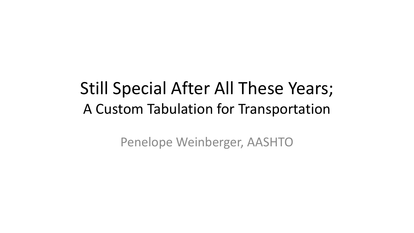## Still Special After All These Years; A Custom Tabulation for Transportation

Penelope Weinberger, AASHTO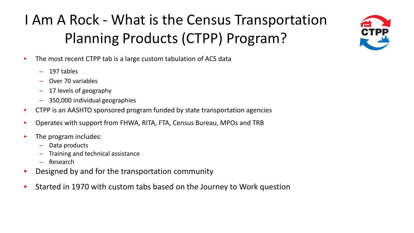## I Am A Rock - What is the Census Transportation Planning Products (CTPP) Program?

- The most recent CTPP tab is a large custom tabulation of ACS data
	- 197 tables
	- Over 70 variables
	- 17 levels of geography
	- 350,000 individual geographies
- CTPP is an AASHTO sponsored program funded by state transportation agencies
- Operates with support from FHWA, RITA, FTA, Census Bureau, MPOs and TRB
- The program includes:
	- Data products
	- Training and technical assistance
	- Research
- Designed by and for the transportation community
- Started in 1970 with custom tabs based on the Journey to Work question

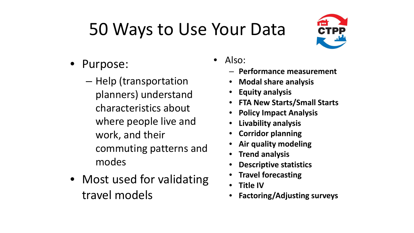# 50 Ways to Use Your Data



- Purpose:
	- Help (transportation planners) understand characteristics about where people live and work, and their commuting patterns and modes
- Most used for validating travel models
- Also:
	- **Performance measurement**
	- **Modal share analysis**
	- **Equity analysis**
	- **FTA New Starts/Small Starts**
	- **Policy Impact Analysis**
	- **Livability analysis**
	- **Corridor planning**
	- **Air quality modeling**
	- **Trend analysis**
	- **Descriptive statistics**
	- **Travel forecasting**
	- **Title IV**
	- **Factoring/Adjusting surveys**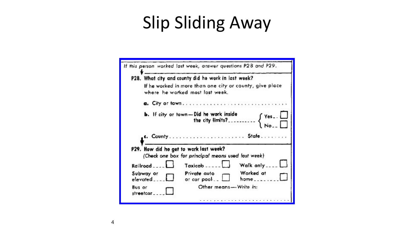# Slip Sliding Away

|                                        | If this person worked last week, answer questions P28 and P29.                              |                           |
|----------------------------------------|---------------------------------------------------------------------------------------------|---------------------------|
|                                        | P28. What city and county did he work in last week?                                         |                           |
|                                        | If he worked in more than one city or county, give place<br>where he worked most last week. |                           |
|                                        |                                                                                             |                           |
|                                        |                                                                                             |                           |
|                                        |                                                                                             |                           |
|                                        | P29. How did he get to work last week?                                                      |                           |
|                                        | (Check one box for principal means used last week)                                          |                           |
| Railroad                               | Taxicab - - - - -                                                                           | Walk only_                |
| Subway or                              | Private auto<br>or car pool                                                                 | Worked at<br>$home_{---}$ |
| elevated<br><b>Bus</b> or<br>streetcar | Other means-Write in:                                                                       |                           |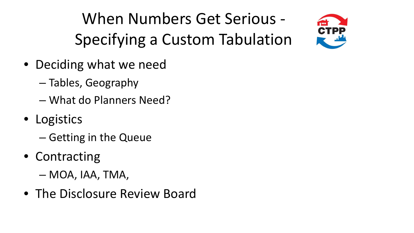When Numbers Get Serious - Specifying a Custom Tabulation



- Deciding what we need
	- Tables, Geography
	- What do Planners Need?
- Logistics
	- Getting in the Queue
- Contracting
	- MOA, IAA, TMA,
- The Disclosure Review Board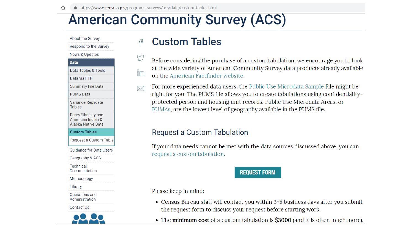유

## **American Community Survey (ACS)**



### **Custom Tables**

- T Before considering the purchase of a custom tabulation, we encourage you to look at the wide variety of American Community Survey data products already available im on the American Factfinder website.
- For more experienced data users, the Public Use Microdata Sample File might be  $\bowtie$ right for you. The PUMS file allows you to create tabulations using confidentialityprotected person and housing unit records. Public Use Microdata Areas, or PUMAs, are the lowest level of geography available in the PUMS file.

#### Request a Custom Tabulation

If your data needs cannot be met with the data sources discussed above, you can request a custom tabulation.

#### **REQUEST FORM**

Please keep in mind:

- Census Bureau staff will contact you within 3-5 business days after you submit the request form to discuss your request before starting work.
- The minimum cost of a custom tabulation is \$3000 (and it is often much more).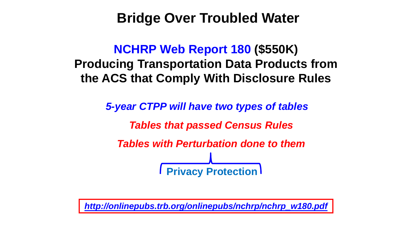## **Bridge Over Troubled Water**

### **NCHRP Web Report 180 (\$550K) Producing Transportation Data Products from the ACS that Comply With Disclosure Rules**

*5-year CTPP will have two types of tables Tables that passed Census Rules Tables with Perturbation done to them* **Fivacy Protection** 

*[http://onlinepubs.trb.org/onlinepubs/nchrp/nchrp\\_w180.pdf](http://onlinepubs.trb.org/onlinepubs/nchrp/nchrp_w180.pdf)*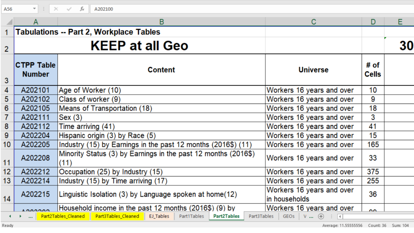| A56                                                                                                                                                |                                    | $\times$ $\checkmark$ fx<br>A202100                                    |                                            |               |    |  |
|----------------------------------------------------------------------------------------------------------------------------------------------------|------------------------------------|------------------------------------------------------------------------|--------------------------------------------|---------------|----|--|
|                                                                                                                                                    |                                    | B                                                                      | C                                          | D             | E. |  |
| 1                                                                                                                                                  |                                    | <b>Tabulations -- Part 2, Workplace Tables</b>                         |                                            |               |    |  |
| $\overline{2}$                                                                                                                                     | <b>KEEP at all Geo</b>             |                                                                        |                                            |               | 30 |  |
| 3                                                                                                                                                  | <b>CTPP Table</b><br><b>Number</b> | <b>Content</b>                                                         | <b>Universe</b>                            | # of<br>Cells |    |  |
| 4                                                                                                                                                  | A202101                            | Age of Worker (10)                                                     | Workers 16 years and over                  | 10            |    |  |
| 5                                                                                                                                                  | A202102                            | Class of worker (9)                                                    | Workers 16 years and over                  | 9             |    |  |
| 6                                                                                                                                                  | A202105                            | Means of Transportation (18)                                           | Workers 16 years and over                  | 18            |    |  |
| 7                                                                                                                                                  | A202111                            | Sex (3)                                                                | Workers 16 years and over                  | 3             |    |  |
| 8                                                                                                                                                  | A202112                            | Time arriving (41)                                                     | Workers 16 years and over                  | 41            |    |  |
| 9                                                                                                                                                  | A202204                            | Hispanic origin (3) by Race (5)                                        | Workers 16 years and over                  | 15            |    |  |
| 10 <sup>1</sup>                                                                                                                                    | A202205                            | Industry (15) by Earnings in the past 12 months (2016\$) (11)          | Workers 16 years and over                  | 165           |    |  |
| 11                                                                                                                                                 | A202208                            | Minority Status (3) by Earnings in the past 12 months (2016\$)<br>(11) | Workers 16 years and over                  | 33            |    |  |
| 12                                                                                                                                                 | A202212                            | Occupation (25) by Industry (15)                                       | Workers 16 years and over                  | 375           |    |  |
| 13 <sup>°</sup>                                                                                                                                    | A202214                            | Industry (15) by Time arriving (17)                                    | Workers 16 years and over                  | 255           |    |  |
| 14                                                                                                                                                 | A202215                            | Linguistic Isolation (3) by Language spoken at home(12)                | Workers 16 years and over<br>in households | 36            |    |  |
|                                                                                                                                                    | 0.00000                            | Household income in the past 12 months (2016\$) (9) by                 | Workers 16 years and over                  | $\sim$        |    |  |
| Part2Tables_Cleaned Part3Tables_Cleaned EJ_Tables<br>Part1Tables<br>Part3Tables<br>GEOS $V  \oplus$ : 4<br><b>Part2Tables</b><br>$\sim$ 100 $\sim$ |                                    |                                                                        |                                            |               |    |  |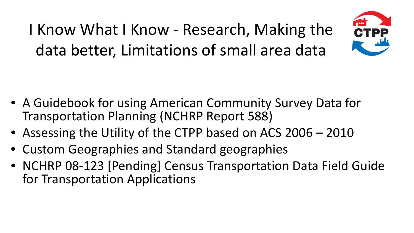I Know What I Know - Research, Making the data better, Limitations of small area data



- A Guidebook for using American Community Survey Data for Transportation Planning (NCHRP Report 588)
- Assessing the Utility of the CTPP based on ACS 2006 2010
- Custom Geographies and Standard geographies
- NCHRP 08-123 [Pending] Census Transportation Data Field Guide for Transportation Applications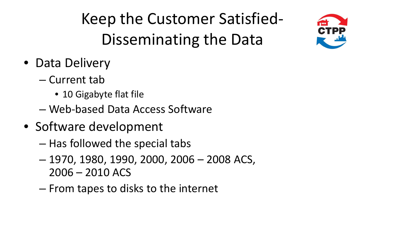Keep the Customer Satisfied-Disseminating the Data

TPE

- Data Delivery
	- Current tab
		- 10 Gigabyte flat file
	- Web-based Data Access Software
- Software development
	- Has followed the special tabs
	- 1970, 1980, 1990, 2000, 2006 2008 ACS, 2006 – 2010 ACS
	- From tapes to disks to the internet